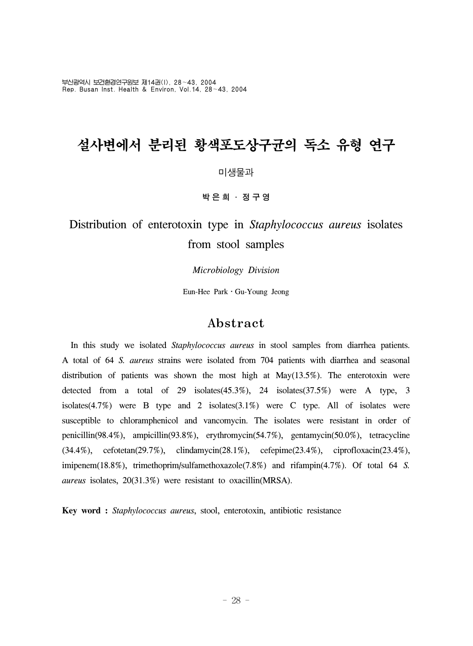부산광역시 보건환경연구원보 제14권(I), 28~43, 2004 Rep. Busan Inst. Health & Environ, Vol.14, 28~43, 2004

# 설사변에서 분리된 황색포도상구균의 독소 유형 연구

#### 미생물과

박은희 ․ 정구영

Distribution of enterotoxin type in *Staphylococcus aureus* isolates from stool samples

*Microbiology Division*

Eun-Hee ParkㆍGu-Young Jeong

#### Abstract

 In this study we isolated *Staphylococcus aureus* in stool samples from diarrhea patients. A total of 64 *S. aureus* strains were isolated from 704 patients with diarrhea and seasonal distribution of patients was shown the most high at May(13.5%). The enterotoxin were detected from a total of 29 isolates(45.3%), 24 isolates(37.5%) were A type, 3 isolates $(4.7%)$  were B type and 2 isolates $(3.1%)$  were C type. All of isolates were susceptible to chloramphenicol and vancomycin. The isolates were resistant in order of penicillin(98.4%), ampicillin(93.8%), erythromycin(54.7%), gentamycin(50.0%), tetracycline (34.4%), cefotetan(29.7%), clindamycin(28.1%), cefepime(23.4%), ciprofloxacin(23.4%), imipenem(18.8%), trimethoprim/sulfamethoxazole(7.8%) and rifampin(4.7%). Of total 64 *S. aureus* isolates, 20(31.3%) were resistant to oxacillin(MRSA).

**Key word :** *Staphylococcus aureus*, stool, enterotoxin, antibiotic resistance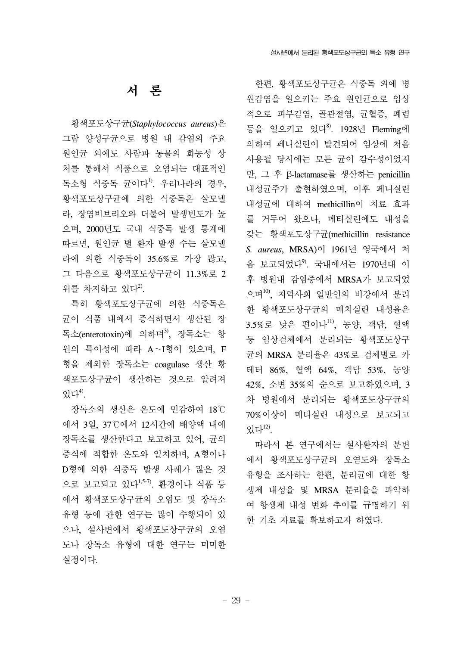## 서 론

 황색포도상구균(*Staphylococcus aureus*)은 그람 양성구균으로 병원 내 감염의 주요 원인균 외에도 사람과 동물의 화농성 상 처를 통해서 식품으로 오염되는 대표적인 독소형 식중독 균이다<sup>1)</sup>. 우리나라의 경우, 황색포도상구균에 의한 식중독은 살모넬 라, 장염비브리오와 더불어 발생빈도가 높 으며, 2000년도 국내 식중독 발생 통계에 따르면, 원인균 별 환자 발생 수는 살모넬 라에 의한 식중독이 35.6%로 가장 많고, 그 다음으로 황색포도상구균이 11.3%로 2 위를 차지하고 있다 $^{2}$ .

 특히 황색포도상구균에 의한 식중독은 균이 식품 내에서 증식하면서 생산된 장 독소(enterotoxin)에 의하며<sup>3)</sup>, 장독소는 항 원의 특이성에 따라 A~I형이 있으며, F 형을 제외한 장독소는 coagulase 생산 황 색포도상구균이 생산하는 것으로 알려져 있다 $4^9$ .

 장독소의 생산은 온도에 민감하여 18℃ 에서 3일, 37℃에서 12시간에 배양액 내에 장독소를 생산한다고 보고하고 있어, 균의 증식에 적합한 온도와 일치하며, A형이나 D형에 의한 식중독 발생 사례가 많은 것 으로 보고되고 있다1,5-7). 환경이나 식품 등 에서 황색포도상구균의 오염도 및 장독소 유형 등에 관한 연구는 많이 수행되어 있 으나, 설사변에서 황색포도상구균의 오염 도나 장독소 유형에 대한 연구는 미미한 실정이다.

 한편, 황색포도상구균은 식중독 외에 병 원감염을 일으키는 주요 원인균으로 임상 적으로 피부감염, 골관절염, 균혈증, 폐렴 등을 일으키고 있다<sup>8)</sup>. 1928년 Fleming에 의하여 페니실린이 발견되어 임상에 처음 사용될 당시에는 모든 균이 감수성이었지 만, 그 후 β-lactamase를 생산하는 penicillin 내성균주가 출현하였으며, 이후 페니실린 내성균에 대하여 methicillin이 치료 효과 를 거두어 왔으나, 메티실린에도 내성을 갖는 황색포도상구균(methicillin resistance *S. aureus*, MRSA)이 1961년 영국에서 처 음 보고되었다<sup>9</sup>. 국내에서는 1970년대 이 후 병원내 감염증에서 MRSA가 보고되었 으며10), 지역사회 일반인의 비강에서 분리 한 황색포도상구균의 메치실린 내성율은 3.5%로 낮은 편이나<sup>11)</sup>, 농양, 객담, 혈액 등 임상검체에서 분리되는 황색포도상구 균의 MRSA 분리율은 43%로 검체별로 카 테터 86%, 혈액 64%, 객담 53%, 농양 42%, 소변 35%의 순으로 보고하였으며, 3 차 병원에서 분리되는 황색포도상구균의 70%이상이 메티실린 내성으로 보고되고 있다 $^{12}$ .

 따라서 본 연구에서는 설사환자의 분변 에서 황색포도상구균의 오염도와 장독소 유형을 조사하는 한편, 분리균에 대한 항 생제 내성율 및 MRSA 분리율을 파악하 여 항생제 내성 변화 추이를 규명하기 위 한 기초 자료를 확보하고자 하였다.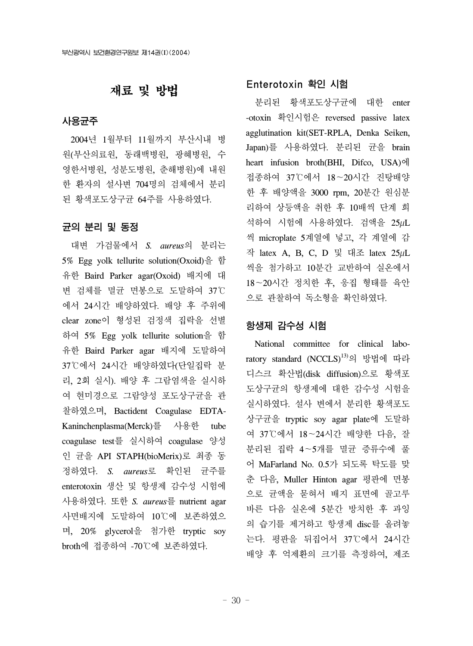## 재료 및 방법

#### 사용균주

 2004년 1월부터 11월까지 부산시내 병 원(부산의료원, 동래백병원, 광혜병원, 수 영한서병원, 성분도병원, 춘해병원)에 내원 한 환자의 설사변 704명의 검체에서 분리 된 황색포도상구균 64주를 사용하였다.

#### 균의 분리 및 동정

대변 가검물에서 *S. aureus*의 분리는 5% Egg yolk tellurite solution(Oxoid)을 함 유한 Baird Parker agar(Oxoid) 배지에 대 변 검체를 멸균 면봉으로 도말하여 37℃ 에서 24시간 배양하였다. 배양 후 주위에 clear zone이 형성된 검정색 집락을 선별 하여 5% Egg yolk tellurite solution을 함 유한 Baird Parker agar 배지에 도말하여 37℃에서 24시간 배양하였다(단일집락 분 리, 2회 실시). 배양 후 그람염색을 실시하 여 현미경으로 그람양성 포도상구균을 관 찰하였으며, Bactident Coagulase EDTA-Kaninchenplasma(Merck)를 사용한 tube coagulase test를 실시하여 coagulase 양성 인 균을 API STAPH(bioMerix)로 최종 동 정하였다. *S. aureus*로 확인된 균주를 enterotoxin 생산 및 항생제 감수성 시험에 사용하였다. 또한 *S. aureus*를 nutrient agar 사면배지에 도말하여 10℃에 보존하였으 며, 20% glycerol을 첨가한 tryptic soy broth에 접종하여 -70℃에 보존하였다.

#### Enterotoxin 확인 시험

 분리된 황색포도상구균에 대한 enter -otoxin 확인시험은 reversed passive latex agglutination kit(SET-RPLA, Denka Seiken, Japan)를 사용하였다. 분리된 균을 brain heart infusion broth(BHI, Difco, USA)에 접종하여 37℃에서 18~20시간 진탕배양 한 후 배양액을 3000 rpm, 20분간 원심분 리하여 상등액을 취한 후 10배씩 단계 희 석하여 시험에 사용하였다. 검액을 25µL 씩 microplate 5계열에 넣고, 각 계열에 감 작 latex A, B, C, D 및 대조 latex 25µL 씩을 첨가하고 10분간 교반하여 실온에서 18~20시간 정치한 후, 응집 형태를 육안 으로 관찰하여 독소형을 확인하였다.

#### 항생제 감수성 시험

 National committee for clinical laboratory standard (NCCLS)<sup>13)</sup>의 방법에 따라 디스크 확산법(disk diffusion)으로 황색포 도상구균의 항생제에 대한 감수성 시험을 실시하였다. 설사 변에서 분리한 황색포도 상구균을 tryptic soy agar plate에 도말하 여 37℃에서 18~24시간 배양한 다음, 잘 분리된 집락 4~5개를 멸균 증류수에 풀 어 MaFarland No. 0.5가 되도록 탁도를 맞 춘 다음, Muller Hinton agar 평판에 면봉 으로 균액을 묻혀서 배지 표면에 골고루 바른 다음 실온에 5분간 방치한 후 과잉 의 습기를 제거하고 항생제 disc를 올려놓 는다. 평판을 뒤집어서 37℃에서 24시간 배양 후 억제환의 크기를 측정하여, 제조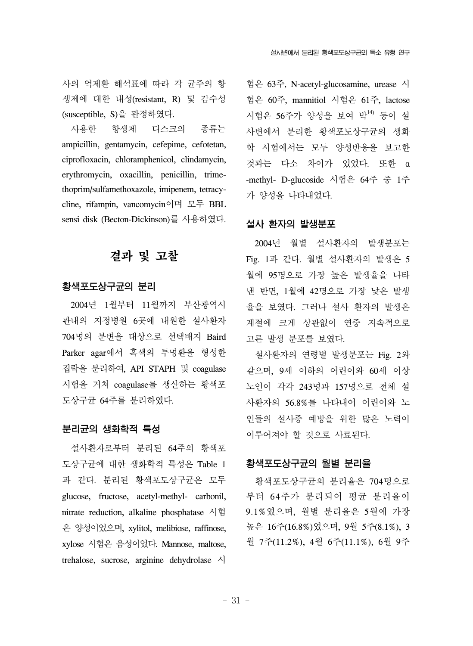사의 억제환 해석표에 따라 각 균주의 항 생제에 대한 내성(resistant, R) 및 감수성 (susceptible, S)을 판정하였다.

 사용한 항생제 디스크의 종류는 ampicillin, gentamycin, cefepime, cefotetan, ciprofloxacin, chloramphenicol, clindamycin, erythromycin, oxacillin, penicillin, trimethoprim/sulfamethoxazole, imipenem, tetracycline, rifampin, vancomycin이며 모두 BBL sensi disk (Becton-Dickinson)를 사용하였다.

## 결과 및 고찰

#### 황색포도상구균의 분리

 2004년 1월부터 11월까지 부산광역시 관내의 지정병원 6곳에 내원한 설사환자 704명의 분변을 대상으로 선택배지 Baird Parker agar에서 흑색의 투명환을 형성한 집락을 분리하여, API STAPH 및 coagulase 시험을 거쳐 coagulase를 생산하는 황색포 도상구균 64주를 분리하였다.

#### 분리균의 생화학적 특성

 설사환자로부터 분리된 64주의 황색포 도상구균에 대한 생화학적 특성은 Table 1 과 같다. 분리된 황색포도상구균은 모두 glucose, fructose, acetyl-methyl- carbonil, nitrate reduction, alkaline phosphatase 시험 은 양성이었으며, xylitol, melibiose, raffinose, xylose 시험은 음성이었다. Mannose, maltose, trehalose, sucrose, arginine dehydrolase 시

험은 63주, N-acetyl-glucosamine, urease 시 험은 60주, mannitiol 시험은 61주, lactose 시험은 56주가 양성을 보여 박14) 등이 설 사변에서 분리한 황색포도상구균의 생화 학 시험에서는 모두 양성반응을 보고한 것과는 다소 차이가 있었다. 또한 α -methyl- D-glucoside 시험은 64주 중 1주 가 양성을 나타내었다.

#### 설사 환자의 발생분포

 2004년 월별 설사환자의 발생분포는 Fig. 1과 같다. 월별 설사환자의 발생은 5 월에 95명으로 가장 높은 발생율을 나타 낸 반면, 1월에 42명으로 가장 낮은 발생 율을 보였다. 그러나 설사 환자의 발생은 계절에 크게 상관없이 연중 지속적으로 고른 발생 분포를 보였다.

 설사환자의 연령별 발생분포는 Fig. 2와 같으며, 9세 이하의 어린이와 60세 이상 노인이 각각 243명과 157명으로 전체 설 사환자의 56.8%를 나타내어 어린이와 노 인들의 설사증 예방을 위한 많은 노력이 이루어져야 할 것으로 사료된다.

#### 황색포도상구균의 월별 분리율

황색포도상구균의 분리율은 704명으로 부터 64주가 분리되어 평균 분리율이 9.1%였으며, 월별 분리율은 5월에 가장 높은 16주(16.8%)였으며, 9월 5주(8.1%), 3 월 7주(11.2%), 4월 6주(11.1%), 6월 9주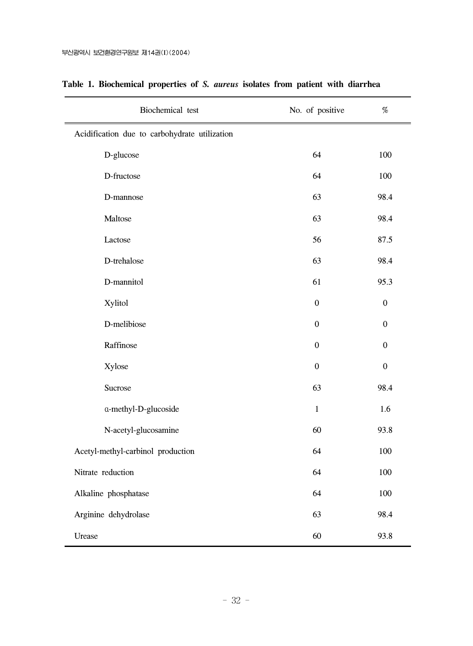| Biochemical test                              | No. of positive  | $\%$             |
|-----------------------------------------------|------------------|------------------|
| Acidification due to carbohydrate utilization |                  |                  |
| D-glucose                                     | 64               | 100              |
| D-fructose                                    | 64               | 100              |
| D-mannose                                     | 63               | 98.4             |
| Maltose                                       | 63               | 98.4             |
| Lactose                                       | 56               | 87.5             |
| D-trehalose                                   | 63               | 98.4             |
| D-mannitol                                    | 61               | 95.3             |
| Xylitol                                       | $\boldsymbol{0}$ | $\boldsymbol{0}$ |
| D-melibiose                                   | $\boldsymbol{0}$ | $\boldsymbol{0}$ |
| Raffinose                                     | $\boldsymbol{0}$ | $\boldsymbol{0}$ |
| Xylose                                        | $\boldsymbol{0}$ | $\boldsymbol{0}$ |
| Sucrose                                       | 63               | 98.4             |
| a-methyl-D-glucoside                          | $1\,$            | 1.6              |
| N-acetyl-glucosamine                          | 60               | 93.8             |
| Acetyl-methyl-carbinol production             | 64               | 100              |
| Nitrate reduction                             | 64               | 100              |
| Alkaline phosphatase                          | 64               | 100              |
| Arginine dehydrolase                          | 63               | 98.4             |
| Urease                                        | 60               | 93.8             |

### **Table 1. Biochemical properties of** *S. aureus* **isolates from patient with diarrhea**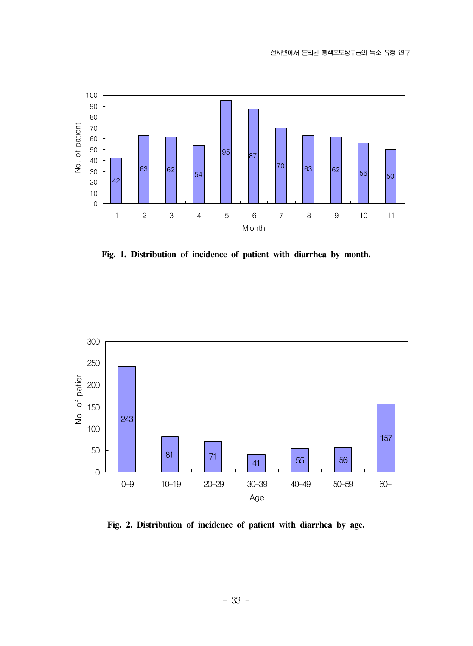

**Fig. 1. Distribution of incidence of patient with diarrhea by month.**



**Fig. 2. Distribution of incidence of patient with diarrhea by age.**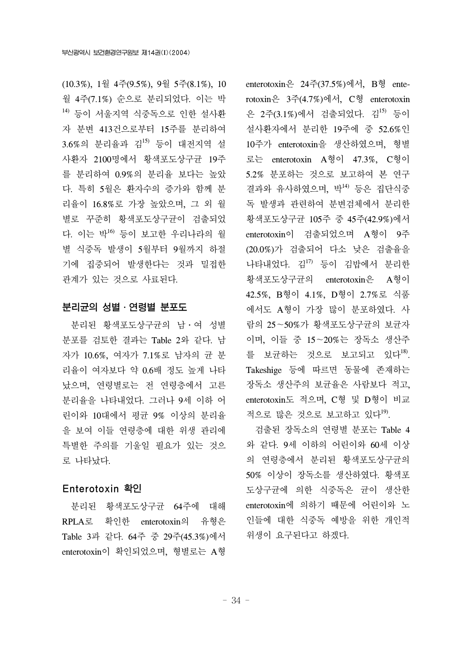(10.3%), 1월 4주(9.5%), 9월 5주(8.1%), 10 월 4주(7.1%) 순으로 분리되었다. 이는 박 14) 등이 서울지역 식중독으로 인한 설사환 자 분변 413건으로부터 15주를 분리하여 3.6%의 분리율과 김15) 등이 대전지역 설 사환자 2100명에서 황색포도상구균 19주 를 분리하여 0.9%의 분리율 보다는 높았 다. 특히 5월은 환자수의 증가와 함께 분 리율이 16.8%로 가장 높았으며, 그 외 월 별로 꾸준히 황색포도상구균이 검출되었 다. 이는 박16) 등이 보고한 우리나라의 월 별 식중독 발생이 5월부터 9월까지 하절 기에 집중되어 발생한다는 것과 밀접한 관계가 있는 것으로 사료된다.

#### 분리균의 성별․연령별 분포도

 분리된 황색포도상구균의 남․여 성별 분포를 검토한 결과는 Table 2와 같다. 남 자가 10.6%, 여자가 7.1%로 남자의 균 분 리율이 여자보다 약 0.6배 정도 높게 나타 났으며, 연령별로는 전 연령층에서 고른 분리율을 나타내었다. 그러나 9세 이하 어 린이와 10대에서 평균 9% 이상의 분리율 을 보여 이들 연령층에 대한 위생 관리에 특별한 주의를 기울일 필요가 있는 것으 로 나타났다.

#### Enterotoxin 확인

 분리된 황색포도상구균 64주에 대해 RPLA로 확인한 enterotoxin의 유형은 Table 3과 같다. 64주 중 29주(45.3%)에서 enterotoxin이 확인되었으며, 형별로는 A형

enterotoxin은 24주(37.5%)에서, B형 enterotoxin은 3주(4.7%)에서, C형 enterotoxin 은 2주(3.1%)에서 검출되었다. 김<sup>15)</sup> 등이 설사환자에서 분리한 19주에 중 52.6%인 10주가 enterotoxin을 생산하였으며, 형별 로는 enterotoxin A형이 47.3%, C형이 5.2% 분포하는 것으로 보고하여 본 연구 결과와 유사하였으며, 박14) 등은 집단식중 독 발생과 관련하여 분변검체에서 분리한 황색포도상구균 105주 중 45주(42.9%)에서 enterotoxin이 검출되었으며 A형이 9주 (20.0%)가 검출되어 다소 낮은 검출율을 나타내었다. 김17) 등이 김밥에서 분리한 황색포도상구균의 enterotoxin은 A형이 42.5%, B형이 4.1%, D형이 2.7%로 식품 에서도 A형이 가장 많이 분포하였다. 사 람의 25~50%가 황색포도상구균의 보균자 이며, 이들 중 15~20%는 장독소 생산주 를 보균하는 것으로 보고되고 있다<sup>18)</sup>. Takeshige 등에 따르면 동물에 존재하는 장독소 생산주의 보균율은 사람보다 적고, enterotoxin도 적으며, C형 및 D형이 비교 적으로 많은 것으로 보고하고 있다<sup>19</sup>.

 검출된 장독소의 연령별 분포는 Table 4 와 같다. 9세 이하의 어린이와 60세 이상 의 연령층에서 분리된 황색포도상구균의 50% 이상이 장독소를 생산하였다. 황색포 도상구균에 의한 식중독은 균이 생산한 enterotoxin에 의하기 때문에 어린이와 노 인들에 대한 식중독 예방을 위한 개인적 위생이 요구된다고 하겠다.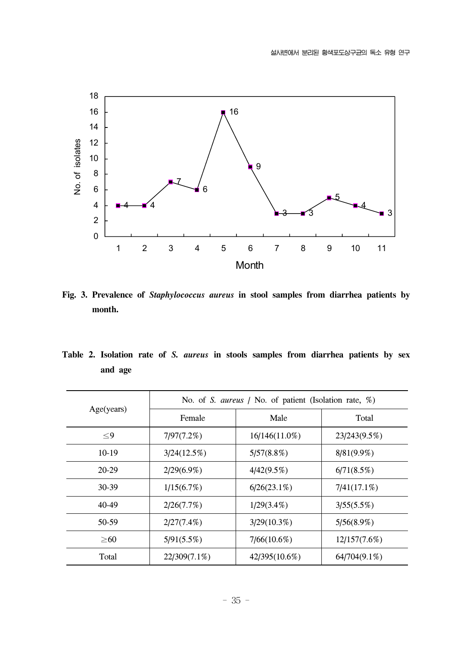

**Fig. 3. Prevalence of** *Staphylococcus aureus* **in stool samples from diarrhea patients by month.**

**Table 2. Isolation rate of** *S. aureus* **in stools samples from diarrhea patients by sex and age**

|            | No. of S. aureus / No. of patient (Isolation rate, %) |                |                |  |  |  |
|------------|-------------------------------------------------------|----------------|----------------|--|--|--|
| Age(years) | Female                                                | Male           | Total          |  |  |  |
| $\leq$ 9   | 7/97(7.2%)                                            | 16/146(11.0%)  | 23/243(9.5%)   |  |  |  |
| $10-19$    | 3/24(12.5%)                                           | 5/57(8.8%)     | $8/81(9.9\%)$  |  |  |  |
| 20-29      | $2/29(6.9\%)$                                         | 4/42(9.5%)     | 6/71(8.5%)     |  |  |  |
| 30-39      | 1/15(6.7%)                                            | $6/26(23.1\%)$ | $7/41(17.1\%)$ |  |  |  |
| 40-49      | 2/26(7.7%)                                            | $1/29(3.4\%)$  | 3/55(5.5%)     |  |  |  |
| 50-59      | $2/27(7.4\%)$                                         | $3/29(10.3\%)$ | 5/56(8.9%)     |  |  |  |
| $\geq 60$  | 5/91(5.5%)                                            | 7/66(10.6%)    | 12/157(7.6%)   |  |  |  |
| Total      | 22/309(7.1%)                                          | 42/395(10.6%)  | 64/704(9.1%)   |  |  |  |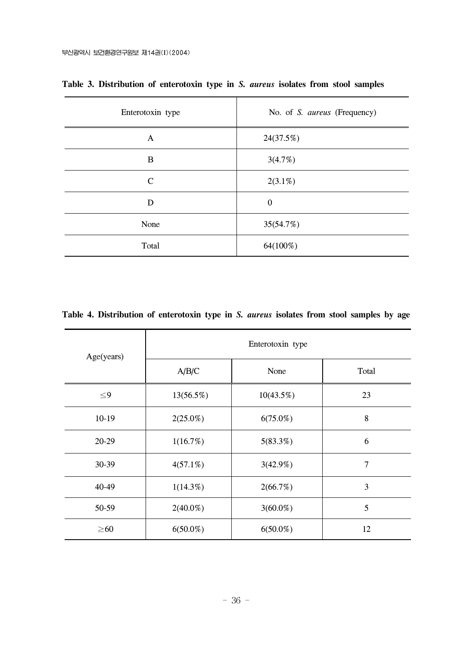| Enterotoxin type | No. of S. aureus (Frequency) |  |  |
|------------------|------------------------------|--|--|
| A                | 24(37.5%)                    |  |  |
| B                | 3(4.7%)                      |  |  |
| $\mathcal{C}$    | $2(3.1\%)$                   |  |  |
| D                | $\overline{0}$               |  |  |
| None             | 35(54.7%)                    |  |  |
| Total            | 64(100%)                     |  |  |

**Table 3. Distribution of enterotoxin type in** *S. aureus* **isolates from stool samples**

|  | Table 4. Distribution of enterotoxin type in S. <i>aureus</i> isolates from stool samples by age |  |  |  |  |  |  |  |  |  |  |  |  |
|--|--------------------------------------------------------------------------------------------------|--|--|--|--|--|--|--|--|--|--|--|--|
|--|--------------------------------------------------------------------------------------------------|--|--|--|--|--|--|--|--|--|--|--|--|

| Age(years) | Enterotoxin type |              |       |  |  |  |
|------------|------------------|--------------|-------|--|--|--|
|            | A/B/C            | None         | Total |  |  |  |
| $\leq$ 9   | 13(56.5%)        | $10(43.5\%)$ | 23    |  |  |  |
| $10-19$    | $2(25.0\%)$      | $6(75.0\%)$  | 8     |  |  |  |
| 20-29      | 1(16.7%)         | 5(83.3%)     | 6     |  |  |  |
| 30-39      | $4(57.1\%)$      | 3(42.9%)     | 7     |  |  |  |
| 40-49      | $1(14.3\%)$      | 2(66.7%)     | 3     |  |  |  |
| 50-59      | $2(40.0\%)$      | $3(60.0\%)$  | 5     |  |  |  |
| $\geq 60$  | $6(50.0\%)$      | $6(50.0\%)$  | 12    |  |  |  |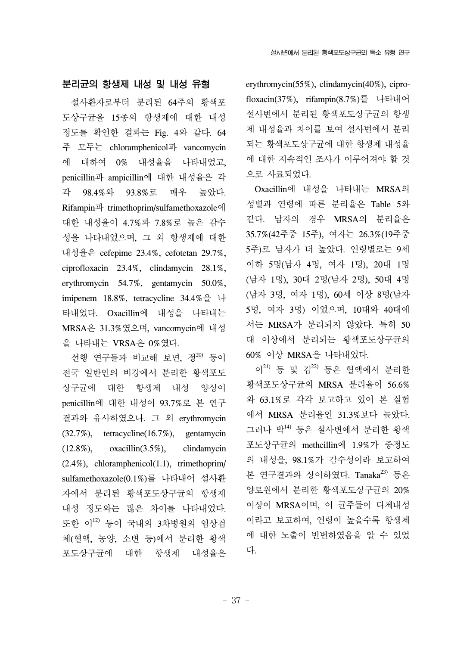#### 분리균의 항생제 내성 및 내성 유형

 설사환자로부터 분리된 64주의 황색포 도상구균을 15종의 항생제에 대한 내성 정도를 확인한 결과는 Fig. 4와 같다. 64 주 모두는 chloramphenicol과 vancomycin 에 대하여 0% 내성율을 나타내었고, penicillin과 ampicillin에 대한 내성율은 각 각 98.4%와 93.8%로 매우 높았다. Rifampin과 trimethoprim/sulfamethoxazole에 대한 내성율이 4.7%과 7.8%로 높은 감수 성을 나타내었으며, 그 외 항생제에 대한 내성율은 cefepime 23.4%, cefotetan 29.7%, ciprofloxacin 23.4%, clindamycin 28.1%, erythromycin 54.7%, gentamycin 50.0%, imipenem 18.8%, tetracycline 34.4%을 나 타내었다. Oxacillin에 내성을 나타내는 MRSA은 31.3%였으며, vancomycin에 내성 을 나타내는 VRSA은 0%였다.

선행 연구들과 비교해 보면, 정 $^{20}$  등이 전국 일반인의 비강에서 분리한 황색포도 상구균에 대한 항생제 내성 양상이 penicillin에 대한 내성이 93.7%로 본 연구 결과와 유사하였으나. 그 외 erythromycin (32.7%), tetracycline(16.7%), gentamycin (12.8%), oxacillin(3.5%), clindamycin (2.4%), chloramphenicol(1.1), trimethoprim/ sulfamethoxazole(0.1%)를 나타내어 설사환 자에서 분리된 황색포도상구균의 항생제 내성 정도와는 많은 차이를 나타내었다. 또한 이12) 등이 국내의 3차병원의 임상검 체(혈액, 농양, 소변 등)에서 분리한 황색 포도상구균에 대한 항생제 내성율은

erythromycin(55%), clindamycin(40%), ciprofloxacin(37%), rifampin(8.7%)를 나타내어 설사변에서 분리된 황색포도상구균의 항생 제 내성율과 차이를 보여 설사변에서 분리 되는 황색포도상구균에 대한 항생제 내성율 에 대한 지속적인 조사가 이루어져야 할 것 으로 사료되었다.

 Oxacillin에 내성을 나타내는 MRSA의 성별과 연령에 따른 분리율은 Table 5와 같다. 남자의 경우 MRSA의 분리율은 35.7%(42주중 15주), 여자는 26.3%(19주중 5주)로 남자가 더 높았다. 연령별로는 9세 이하 5명(남자 4명, 여자 1명), 20대 1명 (남자 1명), 30대 2명(남자 2명), 50대 4명 (남자 3명, 여자 1명), 60세 이상 8명(남자 5명, 여자 3명) 이었으며, 10대와 40대에 서는 MRSA가 분리되지 않았다. 특히 50 대 이상에서 분리되는 황색포도상구균의 60% 이상 MRSA을 나타내었다.

이 $21$ ) 등 및 김 $22$ ) 등은 혈액에서 분리한 황색포도상구균의 MRSA 분리율이 56.6% 와 63.1%로 각각 보고하고 있어 본 실험 에서 MRSA 분리율인 31.3%보다 높았다. 그러나 박14) 등은 설사변에서 분리한 황색 포도상구균의 methcillin에 1.9%가 중정도 의 내성을, 98.1%가 감수성이라 보고하여 본 연구결과와 상이하였다. Tanaka<sup>23)</sup> 등은 양로원에서 분리한 황색포도상구균의 20% 이상이 MRSA이며, 이 균주들이 다제내성 이라고 보고하여, 연령이 높을수록 항생제 에 대한 노출이 빈번하였음을 알 수 있었 다.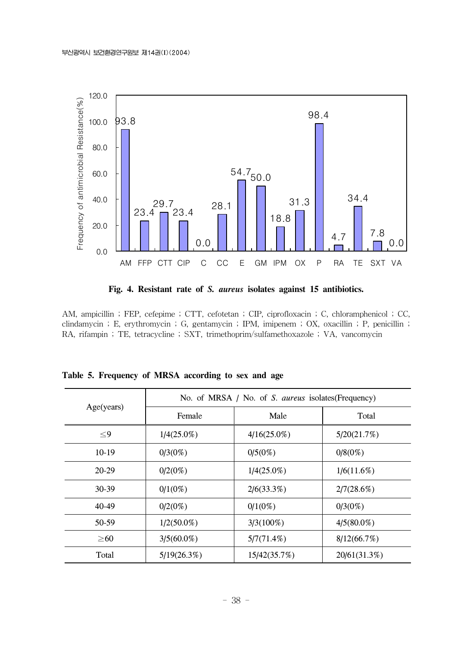

**Fig. 4. Resistant rate of** *S. aureus* **isolates against 15 antibiotics.**

AM, ampicillin ; FEP, cefepime ; CTT, cefotetan ; CIP, ciprofloxacin ; C, chloramphenicol ; CC, clindamycin ; E, erythromycin ; G, gentamycin ; IPM, imipenem ; OX, oxacillin ; P, penicillin ; RA, rifampin ; TE, tetracycline ; SXT, trimethoprim/sulfamethoxazole ; VA, vancomycin

|            | No. of MRSA / No. of S. aureus isolates (Frequency) |                |               |  |  |  |
|------------|-----------------------------------------------------|----------------|---------------|--|--|--|
| Age(years) | Female                                              | Male           | Total         |  |  |  |
| $\leq$ 9   | $1/4(25.0\%)$                                       | $4/16(25.0\%)$ | 5/20(21.7%)   |  |  |  |
| $10-19$    | $0/3(0\%)$                                          | 0/5(0%)        | $0/8(0\%)$    |  |  |  |
| $20-29$    | $0/2(0\%)$                                          | $1/4(25.0\%)$  | 1/6(11.6%)    |  |  |  |
| $30-39$    | $0/1(0\%)$                                          | 2/6(33.3%)     | 2/7(28.6%)    |  |  |  |
| 40-49      | $0/2(0\%)$                                          | $0/1(0\%)$     | $0/3(0\%)$    |  |  |  |
| 50-59      | $1/2(50.0\%)$                                       | $3/3(100\%)$   | $4/5(80.0\%)$ |  |  |  |
| $\geq 60$  | $3/5(60.0\%)$                                       | 5/7(71.4%)     | 8/12(66.7%)   |  |  |  |
| Total      | 5/19(26.3%)                                         | 15/42(35.7%)   | 20/61(31.3%)  |  |  |  |

**Table 5. Frequency of MRSA according to sex and age**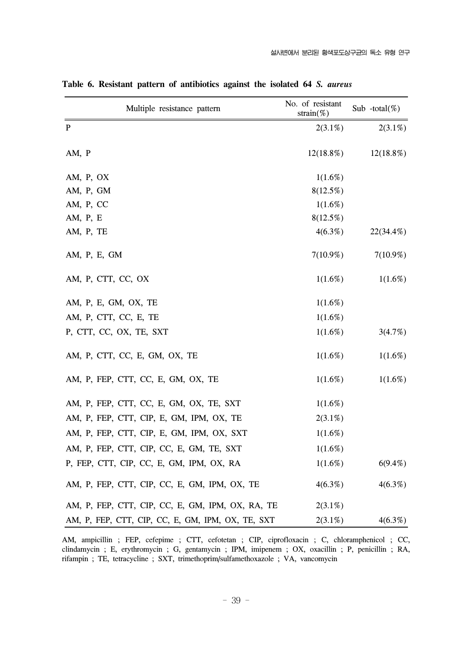| Multiple resistance pattern                       | No. of resistant<br>strain $(\%)$ | Sub -total(%) |
|---------------------------------------------------|-----------------------------------|---------------|
| P                                                 | $2(3.1\%)$                        | $2(3.1\%)$    |
| AM, P                                             | $12(18.8\%)$                      | $12(18.8\%)$  |
| AM, P, OX                                         | 1(1.6%)                           |               |
| AM, P, GM                                         | $8(12.5\%)$                       |               |
| AM, P, CC                                         | $1(1.6\%)$                        |               |
| AM, P, E                                          | $8(12.5\%)$                       |               |
| AM, P, TE                                         | $4(6.3\%)$                        | 22(34.4%)     |
| AM, P, E, GM                                      | $7(10.9\%)$                       | $7(10.9\%)$   |
| AM, P, CTT, CC, OX                                | 1(1.6%)                           | $1(1.6\%)$    |
| AM, P, E, GM, OX, TE                              | 1(1.6%)                           |               |
| AM, P, CTT, CC, E, TE                             | 1(1.6%)                           |               |
| P, CTT, CC, OX, TE, SXT                           | $1(1.6\%)$                        | 3(4.7%)       |
| AM, P, CTT, CC, E, GM, OX, TE                     | $1(1.6\%)$                        | 1(1.6%)       |
| AM, P, FEP, CTT, CC, E, GM, OX, TE                | 1(1.6%)                           | 1(1.6%)       |
| AM, P, FEP, CTT, CC, E, GM, OX, TE, SXT           | $1(1.6\%)$                        |               |
| AM, P, FEP, CTT, CIP, E, GM, IPM, OX, TE          | $2(3.1\%)$                        |               |
| AM, P, FEP, CTT, CIP, E, GM, IPM, OX, SXT         | 1(1.6%)                           |               |
| AM, P, FEP, CTT, CIP, CC, E, GM, TE, SXT          | 1(1.6%)                           |               |
| P, FEP, CTT, CIP, CC, E, GM, IPM, OX, RA          | $1(1.6\%)$                        | $6(9.4\%)$    |
| AM, P, FEP, CTT, CIP, CC, E, GM, IPM, OX, TE      | $4(6.3\%)$                        | 4(6.3%)       |
| AM, P, FEP, CTT, CIP, CC, E, GM, IPM, OX, RA, TE  | $2(3.1\%)$                        |               |
| AM, P, FEP, CTT, CIP, CC, E, GM, IPM, OX, TE, SXT | $2(3.1\%)$                        | $4(6.3\%)$    |

**Table 6. Resistant pattern of antibiotics against the isolated 64** *S. aureus*

AM, ampicillin ; FEP, cefepime ; CTT, cefotetan ; CIP, ciprofloxacin ; C, chloramphenicol ; CC, clindamycin ; E, erythromycin ; G, gentamycin ; IPM, imipenem ; OX, oxacillin ; P, penicillin ; RA, rifampin ; TE, tetracycline ; SXT, trimethoprim/sulfamethoxazole ; VA, vancomycin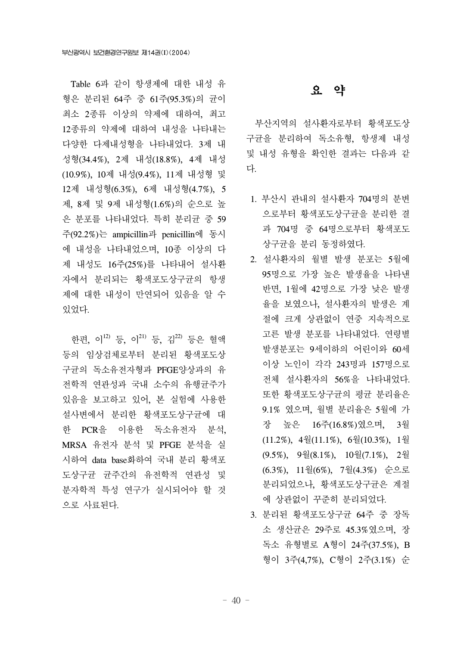Table 6과 같이 항생제에 대한 내성 유 형은 분리된 64주 중 61주(95.3%)의 균이 최소 2종류 이상의 약제에 대하여, 최고 12종류의 약제에 대하여 내성을 나타내는 다양한 다제내성형을 나타내었다. 3제 내 성형(34.4%), 2제 내성(18.8%), 4제 내성 (10.9%), 10제 내성(9.4%), 11제 내성형 및 12제 내성형(6.3%), 6제 내성형(4.7%), 5 제, 8제 및 9제 내성형(1.6%)의 순으로 높 은 분포를 나타내었다. 특히 분리균 중 59 주(92.2%)는 ampicillin과 penicillin에 동시 에 내성을 나타내었으며, 10종 이상의 다 제 내성도 16주(25%)를 나타내어 설사환 자에서 분리되는 황색포도상구균의 항생 제에 대한 내성이 만연되어 있음을 알 수 있었다.

 한편, 이12) 등, 이21) 등, 김22) 등은 혈액 등의 임상검체로부터 분리된 황색포도상 구균의 독소유전자형과 PFGE양상과의 유 전학적 연관성과 국내 소수의 유행균주가 있음을 보고하고 있어, 본 실험에 사용한 설사변에서 분리한 황색포도상구균에 대 한 PCR을 이용한 독소유전자 분석, MRSA 유전자 분석 및 PFGE 분석을 실 시하여 data base화하여 국내 분리 황색포 도상구균 균주간의 유전학적 연관성 및 분자학적 특성 연구가 실시되어야 할 것 으로 사료된다.

#### 요 약

 부산지역의 설사환자로부터 황색포도상 구균을 분리하여 독소유형, 항생제 내성 및 내성 유형을 확인한 결과는 다음과 같 다.

- 1. 부산시 관내의 설사환자 704명의 분변 으로부터 황색포도상구균을 분리한 결 과 704명 중 64명으로부터 황색포도 상구균을 분리 동정하였다.
- 2. 설사환자의 월별 발생 분포는 5월에 95명으로 가장 높은 발생율을 나타낸 반면, 1월에 42명으로 가장 낮은 발생 율을 보였으나, 설사환자의 발생은 계 절에 크게 상관없이 연중 지속적으로 고른 발생 분포를 나타내었다. 연령별 발생분포는 9세이하의 어린이와 60세 이상 노인이 각각 243명과 157명으로 전체 설사환자의 56%을 나타내었다. 또한 황색포도상구균의 평균 분리율은 9.1% 였으며, 월별 분리율은 5월에 가 장 높은 16주(16.8%)였으며, 3월 (11.2%), 4월(11.1%), 6월(10.3%), 1월 (9.5%), 9월(8.1%), 10월(7.1%), 2월 (6.3%), 11월(6%), 7월(4.3%) 순으로 분리되었으나, 황색포도상구균은 계절 에 상관없이 꾸준히 분리되었다.
- 3. 분리된 황색포도상구균 64주 중 장독 소 생산균은 29주로 45.3%였으며, 장 독소 유형별로 A형이 24주(37.5%), B 형이 3주(4,7%), C형이 2주(3.1%) 순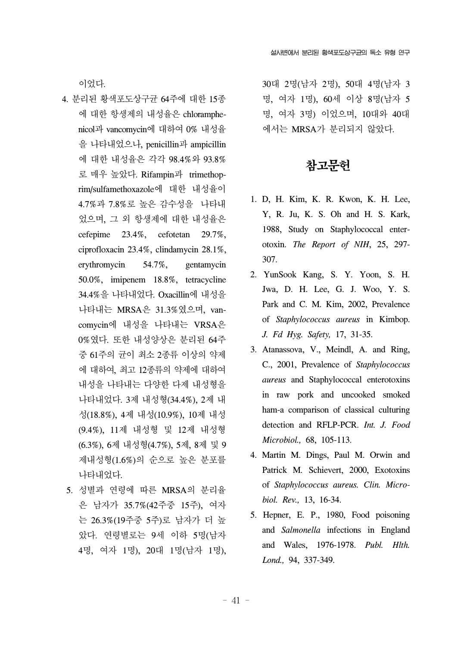이었다.

- 4. 분리된 황색포도상구균 64주에 대한 15종 에 대한 항생제의 내성율은 chloramphenicol과 vancomycin에 대하여 0% 내성율 을 나타내었으나, penicillin과 ampicillin 에 대한 내성율은 각각 98.4%와 93.8% 로 매우 높았다. Rifampin과 trimethoprim/sulfamethoxazole에 대한 내성율이 4.7%과 7.8%로 높은 감수성을 나타내 었으며, 그 외 항생제에 대한 내성율은 cefepime 23.4%, cefotetan 29.7%, ciprofloxacin 23.4%, clindamycin 28.1%, erythromycin 54.7%, gentamycin 50.0%, imipenem 18.8%, tetracycline 34.4%을 나타내었다. Oxacillin에 내성을 나타내는 MRSA은 31.3%였으며, vancomycin에 내성을 나타내는 VRSA은 0%였다. 또한 내성양상은 분리된 64주 중 61주의 균이 최소 2종류 이상의 약제 에 대하여, 최고 12종류의 약제에 대하여 내성을 나타내는 다양한 다제 내성형을 나타내었다. 3제 내성형(34.4%), 2제 내 성(18.8%), 4제 내성(10.9%), 10제 내성 (9.4%), 11제 내성형 및 12제 내성형 (6.3%), 6제 내성형(4.7%), 5제, 8제 및 9 제내성형(1.6%)의 순으로 높은 분포를 나타내었다.
	- 5. 성별과 연령에 따른 MRSA의 분리율 은 남자가 35.7%(42주중 15주), 여자 는 26.3%(19주중 5주)로 남자가 더 높 았다. 연령별로는 9세 이하 5명(남자 4명, 여자 1명), 20대 1명(남자 1명),

30대 2명(남자 2명), 50대 4명(남자 3 명, 여자 1명), 60세 이상 8명(남자 5 명, 여자 3명) 이었으며, 10대와 40대 에서는 MRSA가 분리되지 않았다.

## 참고문헌

- 1. D, H. Kim, K. R. Kwon, K. H. Lee, Y, R. Ju, K. S. Oh and H. S. Kark, 1988, Study on Staphylococcal enterotoxin. *The Report of NIH*, 25, 297- 307.
- 2. YunSook Kang, S. Y. Yoon, S. H. Jwa, D. H. Lee, G. J. Woo, Y. S. Park and C. M. Kim, 2002, Prevalence of *Staphylococcus aureus* in Kimbop. *J. Fd Hyg. Safety,* 17, 31-35.
- 3. Atanassova, V., Meindl, A. and Ring, C., 2001, Prevalence of *Staphylococcus aureus* and Staphylococcal enterotoxins in raw pork and uncooked smoked ham-a comparison of classical culturing detection and RFLP-PCR. *Int. J. Food Microbiol.,* 68, 105-113.
- 4. Martin M. Dings, Paul M. Orwin and Patrick M. Schievert, 2000, Exotoxins of *Staphylococcus aureus. Clin. Microbiol. Rev.,* 13, 16-34.
- 5. Hepner, E. P., 1980, Food poisoning and *Salmonella* infections in England and Wales, 1976-1978. *Publ. Hlth. Lond.,* 94, 337-349.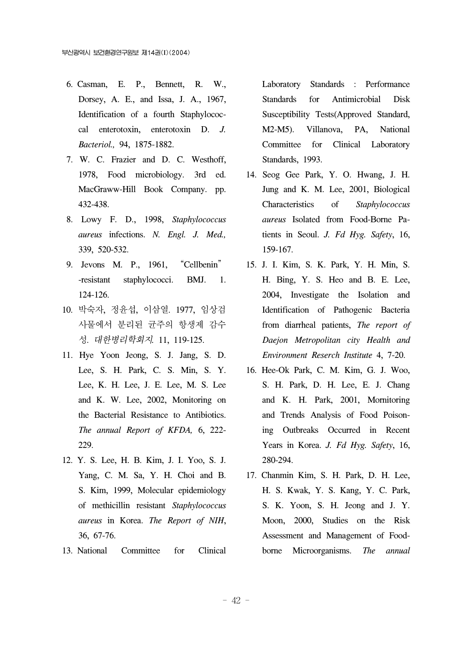- 6. Casman, E. P., Bennett, R. W., Dorsey, A. E., and Issa, J. A., 1967, Identification of a fourth Staphylococcal enterotoxin, enterotoxin D. *J. Bacteriol.,* 94, 1875-1882.
- 7. W. C. Frazier and D. C. Westhoff, 1978, Food microbiology. 3rd ed. MacGraww-Hill Book Company. pp. 432-438.
- 8. Lowy F. D., 1998, *Staphylococcus aureus* infections. *N. Engl. J. Med.,* 339, 520-532.
- 9. Jevons M. P., 1961, "Cellbenin" -resistant staphylococci. BMJ. 1. 124-126.
- 10. 박숙자, 정윤섭, 이삼열. 1977, 임상검 사물에서 분리된 균주의 항생제 감수 성. 대한병리학회지*.* 11, 119-125.
- 11. Hye Yoon Jeong, S. J. Jang, S. D. Lee, S. H. Park, C. S. Min, S. Y. Lee, K. H. Lee, J. E. Lee, M. S. Lee and K. W. Lee, 2002, Monitoring on the Bacterial Resistance to Antibiotics. *The annual Report of KFDA,* 6, 222- 229.
- 12. Y. S. Lee, H. B. Kim, J. I. Yoo, S. J. Yang, C. M. Sa, Y. H. Choi and B. S. Kim, 1999, Molecular epidemiology of methicillin resistant *Staphylococcus aureus* in Korea. *The Report of NIH*, 36, 67-76.
- 13. National Committee for Clinical

Laboratory Standards : Performance Standards for Antimicrobial Disk Susceptibility Tests(Approved Standard, M2-M5). Villanova, PA, National Committee for Clinical Laboratory Standards, 1993.

- 14. Seog Gee Park, Y. O. Hwang, J. H. Jung and K. M. Lee, 2001, Biological Characteristics of *Staphylococcus aureus* Isolated from Food-Borne Patients in Seoul. *J. Fd Hyg. Safety*, 16, 159-167.
- 15. J. I. Kim, S. K. Park, Y. H. Min, S. H. Bing, Y. S. Heo and B. E. Lee, 2004, Investigate the Isolation and Identification of Pathogenic Bacteria from diarrheal patients, *The report of Daejon Metropolitan city Health and Environment Reserch Institute* 4, 7-20.
- 16. Hee-Ok Park, C. M. Kim, G. J. Woo, S. H. Park, D. H. Lee, E. J. Chang and K. H. Park, 2001, Mornitoring and Trends Analysis of Food Poisoning Outbreaks Occurred in Recent Years in Korea. *J. Fd Hyg. Safety*, 16, 280-294.
- 17. Chanmin Kim, S. H. Park, D. H. Lee, H. S. Kwak, Y. S. Kang, Y. C. Park, S. K. Yoon, S. H. Jeong and J. Y. Moon, 2000, Studies on the Risk Assessment and Management of Foodborne Microorganisms. *The annual*